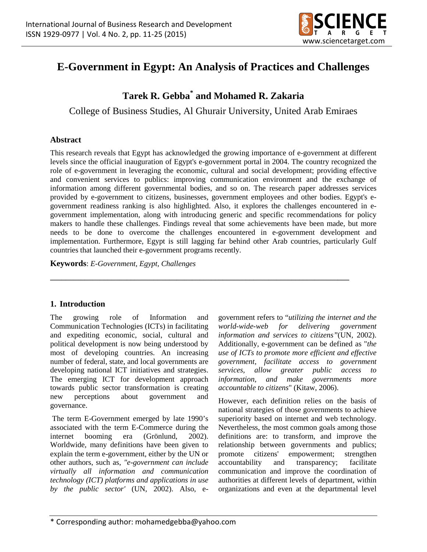

# **E-Government in Egypt: An Analysis of Practices and Challenges**

# **Tarek R. Gebba\* and Mohamed R. Zakaria**

College of Business Studies, Al Ghurair University, United Arab Emiraes

## **Abstract**

This research reveals that Egypt has acknowledged the growing importance of e-government at different levels since the official inauguration of Egypt's e-government portal in 2004. The country recognized the role of e-government in leveraging the economic, cultural and social development; providing effective and convenient services to publics: improving communication environment and the exchange of information among different governmental bodies, and so on. The research paper addresses services provided by e-government to citizens, businesses, government employees and other bodies. Egypt's egovernment readiness ranking is also highlighted. Also, it explores the challenges encountered in egovernment implementation, along with introducing generic and specific recommendations for policy makers to handle these challenges. Findings reveal that some achievements have been made, but more needs to be done to overcome the challenges encountered in e-government development and implementation. Furthermore, Egypt is still lagging far behind other Arab countries, particularly Gulf countries that launched their e-government programs recently.

**\_\_\_\_\_\_\_\_\_\_\_\_\_\_\_\_\_\_\_\_\_\_\_\_\_\_\_\_\_\_\_\_\_\_\_\_\_\_\_\_\_\_\_\_\_\_\_\_\_\_\_\_\_\_\_\_\_\_\_\_\_\_\_\_\_\_\_\_\_\_\_\_\_\_\_\_\_\_**

**Keywords**: *E-Government, Egypt, Challenges* 

# **1. Introduction**

The growing role of Information and Communication Technologies (ICTs) in facilitating and expediting economic, social, cultural and political development is now being understood by most of developing countries. An increasing number of federal, state, and local governments are developing national ICT initiatives and strategies. The emerging ICT for development approach towards public sector transformation is creating new perceptions about government and governance.

 The term E-Government emerged by late 1990's associated with the term E-Commerce during the internet booming era (Grönlund, 2002). Worldwide, many definitions have been given to explain the term e-government, either by the UN or other authors, such as, *"e-government can include virtually all information and communication technology (ICT) platforms and applications in use by the public sector'* (UN, 2002). Also, egovernment refers to "*utilizing the internet and the world-wide-web for delivering government information and services to citizens"*(UN, 2002). Additionally, e-government can be defined as "*the use of ICTs to promote more efficient and effective government, facilitate access to government services, allow greater public access to information, and make governments more accountable to citizens*" (Kitaw, 2006).

However, each definition relies on the basis of national strategies of those governments to achieve superiority based on internet and web technology. Nevertheless, the most common goals among those definitions are: to transform, and improve the relationship between governments and publics; promote citizens' empowerment; strengthen accountability and transparency; facilitate communication and improve the coordination of authorities at different levels of department, within organizations and even at the departmental level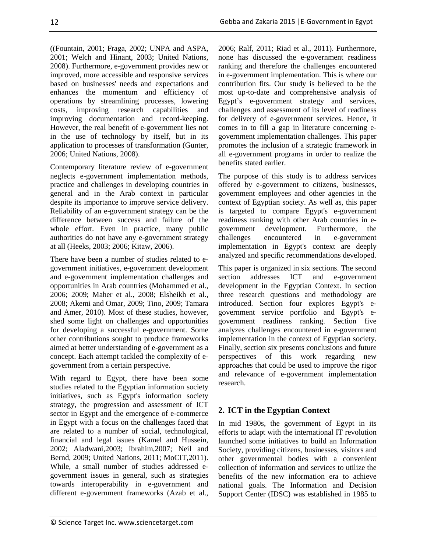((Fountain, 2001; Fraga, 2002; UNPA and ASPA, 2001; Welch and Hinant, 2003; United Nations, 2008). Furthermore, e-government provides new or improved, more accessible and responsive services based on businesses' needs and expectations and enhances the momentum and efficiency of operations by streamlining processes, lowering costs, improving research capabilities and improving documentation and record-keeping. However, the real benefit of e-government lies not in the use of technology by itself, but in its application to processes of transformation (Gunter, 2006; United Nations, 2008).

Contemporary literature review of e-government neglects e-government implementation methods, practice and challenges in developing countries in general and in the Arab context in particular despite its importance to improve service delivery. Reliability of an e-government strategy can be the difference between success and failure of the whole effort. Even in practice, many public authorities do not have any e-government strategy at all (Heeks, 2003; 2006; Kitaw, 2006).

There have been a number of studies related to egovernment initiatives, e-government development and e-government implementation challenges and opportunities in Arab countries (Mohammed et al., 2006; 2009; Maher et al., 2008; Elsheikh et al., 2008; Akemi and Omar, 2009; Tino, 2009; Tamara and Amer, 2010). Most of these studies, however, shed some light on challenges and opportunities for developing a successful e-government. Some other contributions sought to produce frameworks aimed at better understanding of e-government as a concept. Each attempt tackled the complexity of egovernment from a certain perspective.

With regard to Egypt, there have been some studies related to the Egyptian information society initiatives, such as Egypt's information society strategy, the progression and assessment of ICT sector in Egypt and the emergence of e-commerce in Egypt with a focus on the challenges faced that are related to a number of social, technological, financial and legal issues (Kamel and Hussein, 2002; Aladwani,2003; Ibrahim,2007; Neil and Bernd, 2009; United Nations, 2011; MoCIT,2011). While, a small number of studies addressed egovernment issues in general, such as strategies towards interoperability in e-government and different e-government frameworks (Azab et al., 2006; Ralf, 2011; Riad et al., 2011). Furthermore, none has discussed the e-government readiness ranking and therefore the challenges encountered in e-government implementation. This is where our contribution fits. Our study is believed to be the most up-to-date and comprehensive analysis of Egypt's e-government strategy and services, challenges and assessment of its level of readiness for delivery of e-government services. Hence, it comes in to fill a gap in literature concerning egovernment implementation challenges. This paper promotes the inclusion of a strategic framework in all e-government programs in order to realize the benefits stated earlier.

The purpose of this study is to address services offered by e-government to citizens, businesses, government employees and other agencies in the context of Egyptian society. As well as, this paper is targeted to compare Egypt's e-government readiness ranking with other Arab countries in egovernment development. Furthermore, the challenges encountered in e-government implementation in Egypt's context are deeply analyzed and specific recommendations developed.

This paper is organized in six sections. The second section addresses ICT and e-government development in the Egyptian Context. In section three research questions and methodology are introduced. Section four explores Egypt's egovernment service portfolio and Egypt's egovernment readiness ranking. Section five analyzes challenges encountered in e-government implementation in the context of Egyptian society. Finally, section six presents conclusions and future perspectives of this work regarding new approaches that could be used to improve the rigor and relevance of e-government implementation research.

# **2. ICT in the Egyptian Context**

In mid 1980s, the government of Egypt in its efforts to adapt with the international IT revolution launched some initiatives to build an Information Society, providing citizens, businesses, visitors and other governmental bodies with a convenient collection of information and services to utilize the benefits of the new information era to achieve national goals. The Information and Decision Support Center (IDSC) was established in 1985 to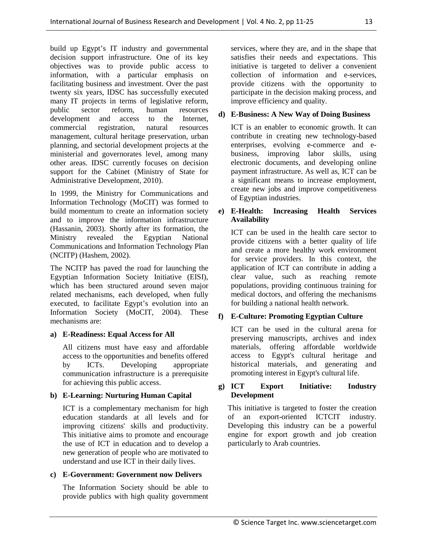build up Egypt's IT industry and governmental decision support infrastructure. One of its key objectives was to provide public access to information, with a particular emphasis on facilitating business and investment. Over the past twenty six years, IDSC has successfully executed many IT projects in terms of legislative reform, public sector reform, human resources development and access to the Internet, commercial registration, natural resources management, cultural heritage preservation, urban planning, and sectorial development projects at the ministerial and governorates level, among many other areas. IDSC currently focuses on decision support for the Cabinet (Ministry of State for Administrative Development, 2010).

In 1999, the Ministry for Communications and Information Technology (MoCIT) was formed to build momentum to create an information society and to improve the information infrastructure (Hassanin, 2003). Shortly after its formation, the Ministry revealed the Egyptian National Communications and Information Technology Plan (NCITP) (Hashem, 2002).

The NCITP has paved the road for launching the Egyptian Information Society Initiative (EISI), which has been structured around seven major related mechanisms, each developed, when fully executed, to facilitate Egypt's evolution into an Information Society (MoCIT, 2004). These mechanisms are:

### **a) E-Readiness: Equal Access for All**

All citizens must have easy and affordable access to the opportunities and benefits offered by ICTs. Developing appropriate communication infrastructure is a prerequisite for achieving this public access.

### **b) E-Learning: Nurturing Human Capital**

ICT is a complementary mechanism for high education standards at all levels and for improving citizens' skills and productivity. This initiative aims to promote and encourage the use of ICT in education and to develop a new generation of people who are motivated to understand and use ICT in their daily lives.

### **c) E-Government: Government now Delivers**

The Information Society should be able to provide publics with high quality government services, where they are, and in the shape that satisfies their needs and expectations. This initiative is targeted to deliver a convenient collection of information and e-services, provide citizens with the opportunity to participate in the decision making process, and improve efficiency and quality.

### **d) E-Business: A New Way of Doing Business**

ICT is an enabler to economic growth. It can contribute in creating new technology-based enterprises, evolving e-commerce and ebusiness, improving labor skills, using electronic documents, and developing online payment infrastructure. As well as, ICT can be a significant means to increase employment, create new jobs and improve competitiveness of Egyptian industries.

#### **e) E-Health: Increasing Health Services Availability**

ICT can be used in the health care sector to provide citizens with a better quality of life and create a more healthy work environment for service providers. In this context, the application of ICT can contribute in adding a clear value, such as reaching remote populations, providing continuous training for medical doctors, and offering the mechanisms for building a national health network.

### **f) E-Culture: Promoting Egyptian Culture**

ICT can be used in the cultural arena for preserving manuscripts, archives and index materials, offering affordable worldwide access to Egypt's cultural heritage and historical materials, and generating and promoting interest in Egypt's cultural life.

#### **g) ICT Export Initiative: Industry Development**

This initiative is targeted to foster the creation of an export-oriented ICTCIT industry. Developing this industry can be a powerful engine for export growth and job creation particularly to Arab countries.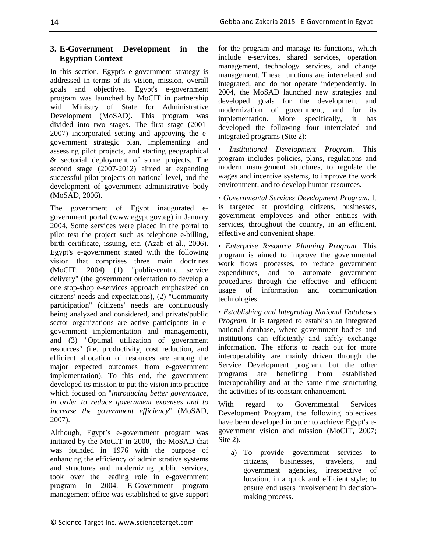## **3. E-Government Development in the Egyptian Context**

In this section, Egypt's e-government strategy is addressed in terms of its vision, mission, overall goals and objectives. Egypt's e-government program was launched by MoCIT in partnership with Ministry of State for Administrative Development (MoSAD). This program was divided into two stages. The first stage (2001- 2007) incorporated setting and approving the egovernment strategic plan, implementing and assessing pilot projects, and starting geographical & sectorial deployment of some projects. The second stage (2007-2012) aimed at expanding successful pilot projects on national level, and the development of government administrative body (MoSAD, 2006).

The government of Egypt inaugurated egovernment portal (www.egypt.gov.eg) in January 2004. Some services were placed in the portal to pilot test the project such as telephone e-billing, birth certificate, issuing, etc. (Azab et al., 2006). Egypt's e-government stated with the following vision that comprises three main doctrines (MoCIT, 2004) (1) "public-centric service delivery" (the government orientation to develop a one stop-shop e-services approach emphasized on citizens' needs and expectations), (2) "Community participation" (citizens' needs are continuously being analyzed and considered, and private/public sector organizations are active participants in egovernment implementation and management), and (3) "Optimal utilization of government resources" (i.e. productivity, cost reduction, and efficient allocation of resources are among the major expected outcomes from e-government implementation). To this end, the government developed its mission to put the vision into practice which focused on "*introducing better governance, in order to reduce government expenses and to increase the government efficiency*" (MoSAD, 2007).

Although, Egypt's e-government program was initiated by the MoCIT in 2000, the MoSAD that was founded in 1976 with the purpose of enhancing the efficiency of administrative systems and structures and modernizing public services, took over the leading role in e-government program in 2004. E-Government program management office was established to give support for the program and manage its functions, which include e-services, shared services, operation management, technology services, and change management. These functions are interrelated and integrated, and do not operate independently. In 2004, the MoSAD launched new strategies and developed goals for the development and modernization of government, and for its implementation. More specifically, it has developed the following four interrelated and integrated programs (Site 2):

• *Institutional Development Program.* This program includes policies, plans, regulations and modern management structures, to regulate the wages and incentive systems, to improve the work environment, and to develop human resources.

• *Governmental Services Development Program.* It is targeted at providing citizens, businesses, government employees and other entities with services, throughout the country, in an efficient, effective and convenient shape.

• *Enterprise Resource Planning Program.* This program is aimed to improve the governmental work flows processes, to reduce government expenditures, and to automate government procedures through the effective and efficient usage of information and communication technologies.

• *Establishing and Integrating National Databases Program.* It is targeted to establish an integrated national database, where government bodies and institutions can efficiently and safely exchange information. The efforts to reach out for more interoperability are mainly driven through the Service Development program, but the other programs are benefiting from established interoperability and at the same time structuring the activities of its constant enhancement.

With regard to Governmental Services Development Program, the following objectives have been developed in order to achieve Egypt's egovernment vision and mission (MoCIT, 2007; Site 2).

a) To provide government services to citizens, businesses, travelers, and government agencies, irrespective of location, in a quick and efficient style; to ensure end users' involvement in decisionmaking process.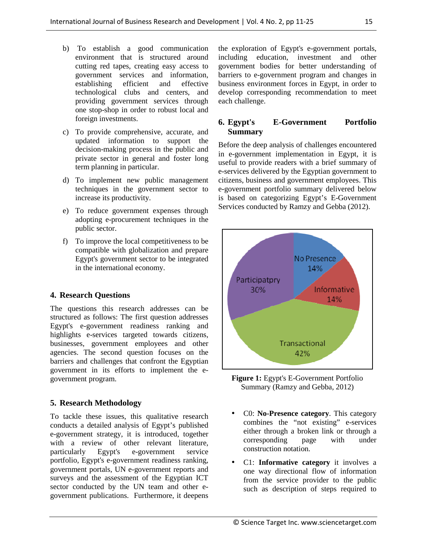- b) To establish a good communication environment that is structured around cutting red tapes, creating easy access to government services and information, establishing efficient and effective technological clubs and centers, and providing government services through one stop-shop in order to robust local and foreign investments.
- c) To provide comprehensive, accurate, and updated information to support the decision-making process in the public and private sector in general and foster long term planning in particular.
- d) To implement new public management techniques in the government sector to increase its productivity.
- e) To reduce government expenses through adopting e-procurement techniques in the public sector.
- f) To improve the local competitiveness to be compatible with globalization and prepare Egypt's government sector to be integrated in the international economy.

### **4. Research Questions**

The questions this research addresses can be structured as follows: The first question addresses Egypt's e-government readiness ranking and highlights e-services targeted towards citizens, businesses, government employees and other agencies. The second question focuses on the barriers and challenges that confront the Egyptian government in its efforts to implement the egovernment program.

### **5. Research Methodology**

To tackle these issues, this qualitative research conducts a detailed analysis of Egypt's published e-government strategy, it is introduced, together with a review of other relevant literature, particularly Egypt's e-government service portfolio, Egypt's e-government readiness ranking, government portals, UN e-government reports and surveys and the assessment of the Egyptian ICT sector conducted by the UN team and other egovernment publications. Furthermore, it deepens

the exploration of Egypt's e-government portals, including education, investment and other government bodies for better understanding of barriers to e-government program and changes in business environment forces in Egypt, in order to develop corresponding recommendation to meet each challenge.

### **6. Egypt's E-Government Portfolio Summary**

Before the deep analysis of challenges encountered in e-government implementation in Egypt, it is useful to provide readers with a brief summary of e-services delivered by the Egyptian government to citizens, business and government employees. This e-government portfolio summary delivered below is based on categorizing Egypt's E-Government Services conducted by Ramzy and Gebba (2012).



**Figure 1:** Egypt's E-Government Portfolio Summary (Ramzy and Gebba, 2012)

- C0: **No-Presence category**. This category combines the "not existing" e-services either through a broken link or through a corresponding page with under construction notation.
- C1: **Informative category** it involves a one way directional flow of information from the service provider to the public such as description of steps required to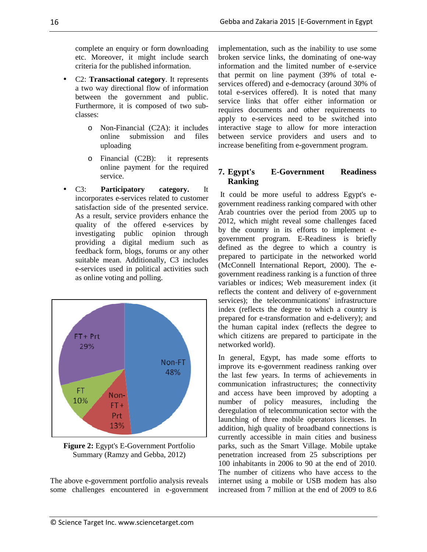complete an enquiry or form downloading etc. Moreover, it might include search criteria for the published information.

- C2: **Transactional category**. It represents a two way directional flow of information between the government and public. Furthermore, it is composed of two subclasses:
	- o Non-Financial (C2A): it includes online submission and files uploading
	- o Financial (C2B): it represents online payment for the required service.
- C3: **Participatory category.** It incorporates e-services related to customer satisfaction side of the presented service. As a result, service providers enhance the quality of the offered e-services by investigating public opinion through providing a digital medium such as feedback form, blogs, forums or any other suitable mean. Additionally, C3 includes e-services used in political activities such as online voting and polling.



**Figure 2:** Egypt's E-Government Portfolio Summary (Ramzy and Gebba, 2012)

The above e-government portfolio analysis reveals some challenges encountered in e-government implementation, such as the inability to use some broken service links, the dominating of one-way information and the limited number of e-service that permit on line payment (39% of total eservices offered) and e-democracy (around 30% of total e-services offered). It is noted that many service links that offer either information or requires documents and other requirements to apply to e-services need to be switched into interactive stage to allow for more interaction between service providers and users and to increase benefiting from e-government program.

## **7. Egypt's E-Government Readiness Ranking**

 It could be more useful to address Egypt's egovernment readiness ranking compared with other Arab countries over the period from 2005 up to 2012, which might reveal some challenges faced by the country in its efforts to implement egovernment program. E-Readiness is briefly defined as the degree to which a country is prepared to participate in the networked world (McConnell International Report, 2000). The egovernment readiness ranking is a function of three variables or indices; Web measurement index (it reflects the content and delivery of e-government services); the telecommunications' infrastructure index (reflects the degree to which a country is prepared for e-transformation and e-delivery); and the human capital index (reflects the degree to which citizens are prepared to participate in the networked world).

In general, Egypt, has made some efforts to improve its e-government readiness ranking over the last few years. In terms of achievements in communication infrastructures; the connectivity and access have been improved by adopting a number of policy measures, including the deregulation of telecommunication sector with the launching of three mobile operators licenses. In addition, high quality of broadband connections is currently accessible in main cities and business parks, such as the Smart Village. Mobile uptake penetration increased from 25 subscriptions per 100 inhabitants in 2006 to 90 at the end of 2010. The number of citizens who have access to the internet using a mobile or USB modem has also increased from 7 million at the end of 2009 to 8.6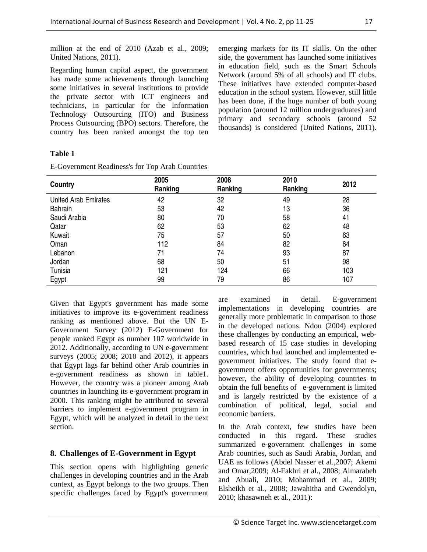million at the end of 2010 (Azab et al., 2009; United Nations, 2011).

Regarding human capital aspect, the government has made some achievements through launching some initiatives in several institutions to provide the private sector with ICT engineers and technicians, in particular for the Information Technology Outsourcing (ITO) and Business Process Outsourcing (BPO) sectors. Therefore, the country has been ranked amongst the top ten emerging markets for its IT skills. On the other side, the government has launched some initiatives in education field, such as the Smart Schools Network (around 5% of all schools) and IT clubs. These initiatives have extended computer-based education in the school system. However, still little has been done, if the huge number of both young population (around 12 million undergraduates) and primary and secondary schools (around 52 thousands) is considered (United Nations, 2011).

### **Table 1**

E-Government Readiness's for Top Arab Countries

| Country                     | 2005<br>Ranking | 2008<br>Ranking | 2010<br>Ranking | 2012 |
|-----------------------------|-----------------|-----------------|-----------------|------|
| <b>United Arab Emirates</b> | 42              | 32              | 49              | 28   |
| <b>Bahrain</b>              | 53              | 42              | 13              | 36   |
| Saudi Arabia                | 80              | 70              | 58              | 41   |
| Qatar                       | 62              | 53              | 62              | 48   |
| Kuwait                      | 75              | 57              | 50              | 63   |
| Oman                        | 112             | 84              | 82              | 64   |
| Lebanon                     | 71              | 74              | 93              | 87   |
| Jordan                      | 68              | 50              | 51              | 98   |
| Tunisia                     | 121             | 124             | 66              | 103  |
| Egypt                       | 99              | 79              | 86              | 107  |

Given that Egypt's government has made some initiatives to improve its e-government readiness ranking as mentioned above. But the UN E-Government Survey (2012) E-Government for people ranked Egypt as number 107 worldwide in 2012. Additionally, according to UN e-government surveys (2005; 2008; 2010 and 2012), it appears that Egypt lags far behind other Arab countries in e-government readiness as shown in table1. However, the country was a pioneer among Arab countries in launching its e-government program in 2000. This ranking might be attributed to several barriers to implement e-government program in Egypt, which will be analyzed in detail in the next section.

# **8. Challenges of E-Government in Egypt**

This section opens with highlighting generic challenges in developing countries and in the Arab context, as Egypt belongs to the two groups. Then specific challenges faced by Egypt's government are examined in detail. E-government implementations in developing countries are generally more problematic in comparison to those in the developed nations. Ndou (2004) explored these challenges by conducting an empirical, webbased research of 15 case studies in developing countries, which had launched and implemented egovernment initiatives. The study found that egovernment offers opportunities for governments; however, the ability of developing countries to obtain the full benefits of e-government is limited and is largely restricted by the existence of a combination of political, legal, social and economic barriers.

In the Arab context, few studies have been conducted in this regard. These studies summarized e-government challenges in some Arab countries, such as Saudi Arabia, Jordan, and UAE as follows (Abdel Nasser et al.,2007; Akemi and Omar,2009; Al-Fakhri et al., 2008; Almarabeh and Abuali, 2010; Mohammad et al., 2009; Elsheikh et al., 2008; Jawahitha and Gwendolyn, 2010; khasawneh et al., 2011):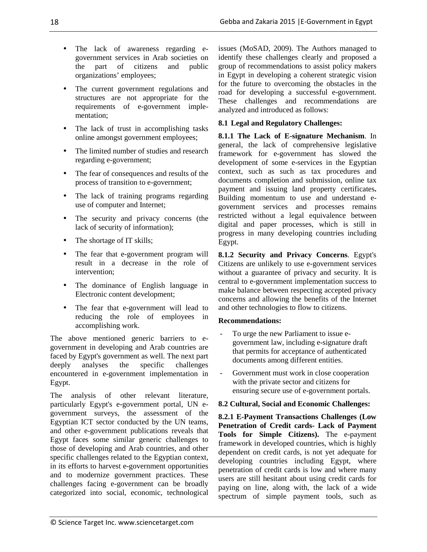- The lack of awareness regarding egovernment services in Arab societies on the part of citizens and public organizations' employees;
- The current government regulations and structures are not appropriate for the requirements of e-government implementation;
- The lack of trust in accomplishing tasks online amongst government employees;
- The limited number of studies and research regarding e-government;
- The fear of consequences and results of the process of transition to e-government;
- The lack of training programs regarding use of computer and Internet;
- The security and privacy concerns (the lack of security of information);
- The shortage of IT skills;
- The fear that e-government program will result in a decrease in the role of intervention;
- The dominance of English language in Electronic content development;
- The fear that e-government will lead to reducing the role of employees in accomplishing work.

The above mentioned generic barriers to egovernment in developing and Arab countries are faced by Egypt's government as well. The next part<br>deeply analyses the specific challenges deeply analyses the specific challenges encountered in e-government implementation in Egypt.

The analysis of other relevant literature, particularly Egypt's e-government portal, UN egovernment surveys, the assessment of the Egyptian ICT sector conducted by the UN teams, and other e-government publications reveals that Egypt faces some similar generic challenges to those of developing and Arab countries, and other specific challenges related to the Egyptian context, in its efforts to harvest e-government opportunities and to modernize government practices. These challenges facing e-government can be broadly categorized into social, economic, technological issues (MoSAD, 2009). The Authors managed to identify these challenges clearly and proposed a group of recommendations to assist policy makers in Egypt in developing a coherent strategic vision for the future to overcoming the obstacles in the road for developing a successful e-government. These challenges and recommendations are analyzed and introduced as follows:

## **8.1 Legal and Regulatory Challenges:**

**8.1.1 The Lack of E-signature Mechanism**. In general, the lack of comprehensive legislative framework for e-government has slowed the development of some e-services in the Egyptian context, such as such as tax procedures and documents completion and submission, online tax payment and issuing land property certificates**.**  Building momentum to use and understand egovernment services and processes remains restricted without a legal equivalence between digital and paper processes, which is still in progress in many developing countries including Egypt.

**8.1.2 Security and Privacy Concerns**. Egypt's Citizens are unlikely to use e-government services without a guarantee of privacy and security. It is central to e-government implementation success to make balance between respecting accepted privacy concerns and allowing the benefits of the Internet and other technologies to flow to citizens.

### **Recommendations:**

- To urge the new Parliament to issue egovernment law, including e-signature draft that permits for acceptance of authenticated documents among different entities.
- Government must work in close cooperation with the private sector and citizens for ensuring secure use of e-government portals.

### **8.2 Cultural, Social and Economic Challenges:**

**8.2.1 E-Payment Transactions Challenges (Low Penetration of Credit cards- Lack of Payment Tools for Simple Citizens).** The e-payment framework in developed countries, which is highly dependent on credit cards, is not yet adequate for developing countries including Egypt, where penetration of credit cards is low and where many users are still hesitant about using credit cards for paying on line, along with, the lack of a wide spectrum of simple payment tools, such as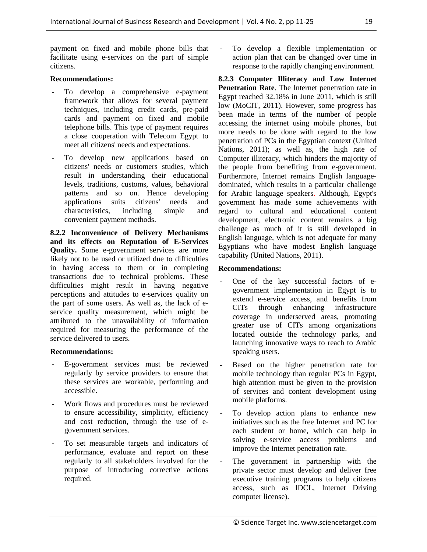payment on fixed and mobile phone bills that facilitate using e-services on the part of simple citizens.

#### **Recommendations:**

- To develop a comprehensive e-payment framework that allows for several payment techniques, including credit cards, pre-paid cards and payment on fixed and mobile telephone bills. This type of payment requires a close cooperation with Telecom Egypt to meet all citizens' needs and expectations.
- To develop new applications based on citizens' needs or customers studies, which result in understanding their educational levels, traditions, customs, values, behavioral patterns and so on. Hence developing applications suits citizens' needs and characteristics, including simple and convenient payment methods.

**8.2.2 Inconvenience of Delivery Mechanisms and its effects on Reputation of E-Services Quality.** Some e-government services are more likely not to be used or utilized due to difficulties in having access to them or in completing transactions due to technical problems. These difficulties might result in having negative perceptions and attitudes to e-services quality on the part of some users. As well as, the lack of eservice quality measurement, which might be attributed to the unavailability of information required for measuring the performance of the service delivered to users.

#### **Recommendations:**

- E-government services must be reviewed regularly by service providers to ensure that these services are workable, performing and accessible.
- Work flows and procedures must be reviewed to ensure accessibility, simplicity, efficiency and cost reduction, through the use of egovernment services.
- To set measurable targets and indicators of performance, evaluate and report on these regularly to all stakeholders involved for the purpose of introducing corrective actions required.

To develop a flexible implementation or action plan that can be changed over time in response to the rapidly changing environment.

**8.2.3 Computer Illiteracy and Low Internet Penetration Rate**. The Internet penetration rate in Egypt reached 32.18% in June 2011, which is still low (MoCIT, 2011). However, some progress has been made in terms of the number of people accessing the internet using mobile phones, but more needs to be done with regard to the low penetration of PCs in the Egyptian context (United Nations, 2011); as well as, the high rate of Computer illiteracy, which hinders the majority of the people from benefiting from e-government. Furthermore, Internet remains English languagedominated, which results in a particular challenge for Arabic language speakers. Although, Egypt's government has made some achievements with regard to cultural and educational content development, electronic content remains a big challenge as much of it is still developed in English language, which is not adequate for many Egyptians who have modest English language capability (United Nations, 2011).

#### **Recommendations:**

- One of the key successful factors of egovernment implementation in Egypt is to extend e-service access, and benefits from CITs through enhancing infrastructure coverage in underserved areas, promoting greater use of CITs among organizations located outside the technology parks, and launching innovative ways to reach to Arabic speaking users.
- Based on the higher penetration rate for mobile technology than regular PCs in Egypt, high attention must be given to the provision of services and content development using mobile platforms.
- To develop action plans to enhance new initiatives such as the free Internet and PC for each student or home, which can help in solving e-service access problems and improve the Internet penetration rate.
- The government in partnership with the private sector must develop and deliver free executive training programs to help citizens access, such as IDCL, Internet Driving computer license).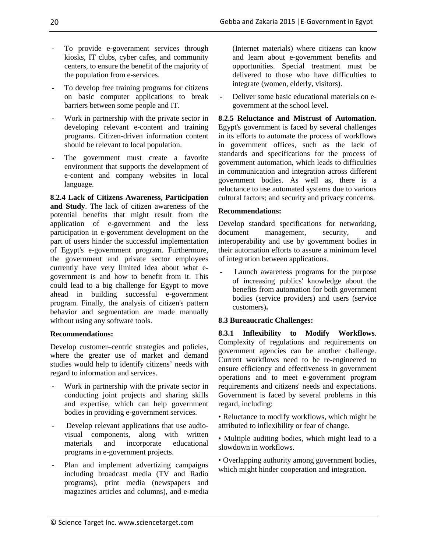Plan and implement advertizing campaigns including broadcast media (TV and Radio programs), print media (newspapers and magazines articles and columns), and e-media

**8.2.4 Lack of Citizens Awareness, Participation and Study**. The lack of citizen awareness of the

To provide e-government services through kiosks, IT clubs, cyber cafes, and community centers, to ensure the benefit of the majority of

To develop free training programs for citizens on basic computer applications to break

Work in partnership with the private sector in developing relevant e-content and training programs. Citizen-driven information content

The government must create a favorite environment that supports the development of

the population from e-services.

barriers between some people and IT.

should be relevant to local population.

potential benefits that might result from the application of e-government and the less participation in e-government development on the part of users hinder the successful implementation of Egypt's e-government program. Furthermore, the government and private sector employees currently have very limited idea about what egovernment is and how to benefit from it. This could lead to a big challenge for Egypt to move ahead in building successful e-government

program. Finally, the analysis of citizen's pattern behavior and segmentation are made manually

Develop customer–centric strategies and policies, where the greater use of market and demand studies would help to identify citizens' needs with

Work in partnership with the private sector in conducting joint projects and sharing skills and expertise, which can help government bodies in providing e-government services.

- Develop relevant applications that use audiovisual components, along with written materials and incorporate educational

without using any software tools.

regard to information and services.

**Recommendations:** 

e-content and company websites in local language.

(Internet materials) where citizens can know and learn about e-government benefits and opportunities. Special treatment must be delivered to those who have difficulties to integrate (women, elderly, visitors).

Deliver some basic educational materials on egovernment at the school level.

**8.2.5 Reluctance and Mistrust of Automation**. Egypt's government is faced by several challenges in its efforts to automate the process of workflows in government offices, such as the lack of standards and specifications for the process of government automation, which leads to difficulties in communication and integration across different government bodies. As well as, there is a reluctance to use automated systems due to various cultural factors; and security and privacy concerns.

# **Recommendations:**

Develop standard specifications for networking, document management, security, and interoperability and use by government bodies in their automation efforts to assure a minimum level of integration between applications.

Launch awareness programs for the purpose of increasing publics' knowledge about the benefits from automation for both government bodies (service providers) and users (service customers)**.** 

# **8.3 Bureaucratic Challenges:**

**8.3.1 Inflexibility to Modify Workflows**. Complexity of regulations and requirements on government agencies can be another challenge. Current workflows need to be re-engineered to ensure efficiency and effectiveness in government operations and to meet e-government program requirements and citizens' needs and expectations. Government is faced by several problems in this regard, including:

• Reluctance to modify workflows, which might be attributed to inflexibility or fear of change.

• Multiple auditing bodies, which might lead to a slowdown in workflows.

• Overlapping authority among government bodies, which might hinder cooperation and integration.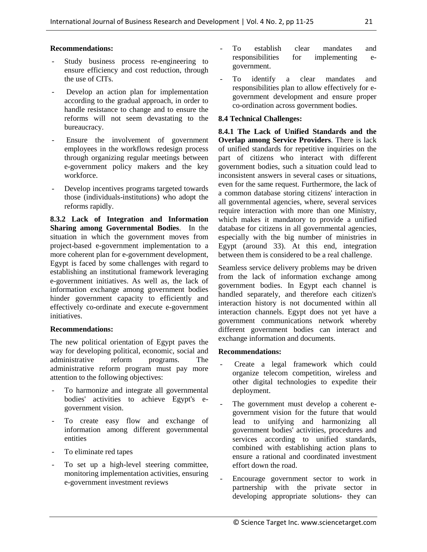#### **Recommendations:**

- Study business process re-engineering to ensure efficiency and cost reduction, through the use of CITs.
- Develop an action plan for implementation according to the gradual approach, in order to handle resistance to change and to ensure the reforms will not seem devastating to the bureaucracy.
- Ensure the involvement of government employees in the workflows redesign process through organizing regular meetings between e-government policy makers and the key workforce.
- Develop incentives programs targeted towards those (individuals-institutions) who adopt the reforms rapidly.

**8.3.2 Lack of Integration and Information Sharing among Governmental Bodies**. In the situation in which the government moves from project-based e-government implementation to a more coherent plan for e-government development, Egypt is faced by some challenges with regard to establishing an institutional framework leveraging e-government initiatives. As well as, the lack of information exchange among government bodies hinder government capacity to efficiently and effectively co-ordinate and execute e-government initiatives.

#### **Recommendations:**

The new political orientation of Egypt paves the way for developing political, economic, social and administrative reform programs. The administrative reform program must pay more attention to the following objectives:

- To harmonize and integrate all governmental bodies' activities to achieve Egypt's egovernment vision.
- To create easy flow and exchange of information among different governmental entities
- To eliminate red tapes
- To set up a high-level steering committee, monitoring implementation activities, ensuring e-government investment reviews
- To establish clear mandates and responsibilities for implementing egovernment.
- To identify a clear mandates and responsibilities plan to allow effectively for egovernment development and ensure proper co-ordination across government bodies.

#### **8.4 Technical Challenges:**

**8.4.1 The Lack of Unified Standards and the Overlap among Service Providers**. There is lack of unified standards for repetitive inquiries on the part of citizens who interact with different government bodies, such a situation could lead to inconsistent answers in several cases or situations, even for the same request. Furthermore, the lack of a common database storing citizens' interaction in all governmental agencies, where, several services require interaction with more than one Ministry, which makes it mandatory to provide a unified database for citizens in all governmental agencies, especially with the big number of ministries in Egypt (around 33). At this end, integration between them is considered to be a real challenge.

Seamless service delivery problems may be driven from the lack of information exchange among government bodies. In Egypt each channel is handled separately, and therefore each citizen's interaction history is not documented within all interaction channels. Egypt does not yet have a government communications network whereby different government bodies can interact and exchange information and documents.

#### **Recommendations:**

- Create a legal framework which could organize telecom competition, wireless and other digital technologies to expedite their deployment.
- The government must develop a coherent egovernment vision for the future that would lead to unifying and harmonizing all government bodies' activities, procedures and services according to unified standards, combined with establishing action plans to ensure a rational and coordinated investment effort down the road.
- Encourage government sector to work in partnership with the private sector in developing appropriate solutions- they can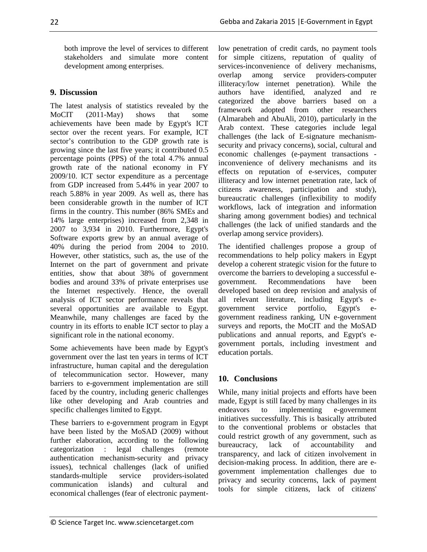both improve the level of services to different stakeholders and simulate more content development among enterprises.

# **9. Discussion**

The latest analysis of statistics revealed by the MoCIT (2011-May) shows that some achievements have been made by Egypt's ICT sector over the recent years. For example, ICT sector's contribution to the GDP growth rate is growing since the last five years; it contributed 0.5 percentage points (PPS) of the total 4.7% annual growth rate of the national economy in FY 2009/10. ICT sector expenditure as a percentage from GDP increased from 5.44% in year 2007 to reach 5.88% in year 2009. As well as, there has been considerable growth in the number of ICT firms in the country. This number (86% SMEs and 14% large enterprises) increased from 2,348 in 2007 to 3,934 in 2010. Furthermore, Egypt's Software exports grew by an annual average of 40% during the period from 2004 to 2010. However, other statistics, such as, the use of the Internet on the part of government and private entities, show that about 38% of government bodies and around 33% of private enterprises use the Internet respectively. Hence, the overall analysis of ICT sector performance reveals that several opportunities are available to Egypt. Meanwhile, many challenges are faced by the country in its efforts to enable ICT sector to play a significant role in the national economy.

Some achievements have been made by Egypt's government over the last ten years in terms of ICT infrastructure, human capital and the deregulation of telecommunication sector. However, many barriers to e-government implementation are still faced by the country, including generic challenges like other developing and Arab countries and specific challenges limited to Egypt.

These barriers to e-government program in Egypt have been listed by the MoSAD (2009) without further elaboration, according to the following categorization : legal challenges (remote authentication mechanism-security and privacy issues), technical challenges (lack of unified standards-multiple service providers-isolated communication islands) and cultural and economical challenges (fear of electronic paymentlow penetration of credit cards, no payment tools for simple citizens, reputation of quality of services-inconvenience of delivery mechanisms, overlap among service providers-computer illiteracy/low internet penetration). While the authors have identified, analyzed and re categorized the above barriers based on a framework adopted from other researchers (Almarabeh and AbuAli, 2010), particularly in the Arab context. These categories include legal challenges (the lack of E-signature mechanismsecurity and privacy concerns), social, cultural and economic challenges (e-payment transactions inconvenience of delivery mechanisms and its effects on reputation of e-services, computer illiteracy and low internet penetration rate, lack of citizens awareness, participation and study), bureaucratic challenges (inflexibility to modify workflows, lack of integration and information sharing among government bodies) and technical challenges (the lack of unified standards and the overlap among service providers).

The identified challenges propose a group of recommendations to help policy makers in Egypt develop a coherent strategic vision for the future to overcome the barriers to developing a successful egovernment. Recommendations have been developed based on deep revision and analysis of all relevant literature, including Egypt's egovernment service portfolio, Egypt's egovernment readiness ranking, UN e-government surveys and reports, the MoCIT and the MoSAD publications and annual reports, and Egypt's egovernment portals, including investment and education portals.

# **10. Conclusions**

While, many initial projects and efforts have been made, Egypt is still faced by many challenges in its endeavors to implementing e-government initiatives successfully. This is basically attributed to the conventional problems or obstacles that could restrict growth of any government, such as bureaucracy, lack of accountability and transparency, and lack of citizen involvement in decision-making process. In addition, there are egovernment implementation challenges due to privacy and security concerns, lack of payment tools for simple citizens, lack of citizens'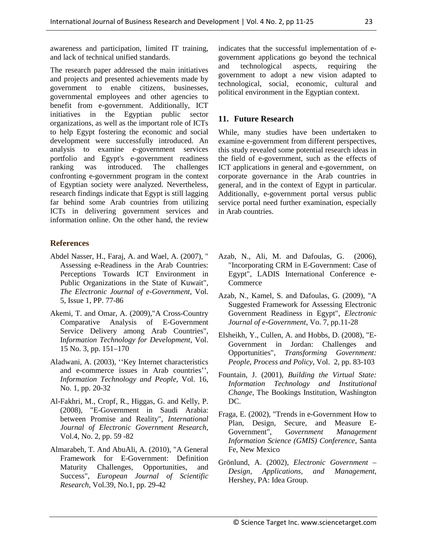awareness and participation, limited IT training, and lack of technical unified standards.

The research paper addressed the main initiatives and projects and presented achievements made by government to enable citizens, businesses, governmental employees and other agencies to benefit from e-government. Additionally, ICT initiatives in the Egyptian public sector organizations, as well as the important role of ICTs to help Egypt fostering the economic and social development were successfully introduced. An analysis to examine e-government services portfolio and Egypt's e-government readiness ranking was introduced. The challenges confronting e-government program in the context of Egyptian society were analyzed. Nevertheless, research findings indicate that Egypt is still lagging far behind some Arab countries from utilizing ICTs in delivering government services and information online. On the other hand, the review

# **References**

- Abdel Nasser, H., Faraj, A. and Wael, A. (2007), " Assessing e-Readiness in the Arab Countries: Perceptions Towards ICT Environment in Public Organizations in the State of Kuwait", *The Electronic Journal of e-Government*, Vol. 5, Issue 1, PP. 77-86
- Akemi, T. and Omar, A. (2009),"A Cross-Country Comparative Analysis of E-Government Service Delivery among Arab Countries", In*formation Technology for Development*, Vol. 15 No. 3, pp. 151–170
- Aladwani, A. (2003), ''Key Internet characteristics and e-commerce issues in Arab countries'', *Information Technology and People*, Vol. 16, No. 1, pp. 20-32
- Al-Fakhri, M., Cropf, R., Higgas, G. and Kelly, P. (2008), "E-Government in Saudi Arabia: between Promise and Reality", *International Journal of Electronic Government Research*, Vol.4, No. 2, pp. 59 -82
- Almarabeh, T. And AbuAli, A. (2010), "A General Framework for E-Government: Definition Maturity Challenges, Opportunities, and Success", *European Journal of Scientific Research*, Vol.39, No.1, pp. 29-42

indicates that the successful implementation of egovernment applications go beyond the technical and technological aspects, requiring the government to adopt a new vision adapted to technological, social, economic, cultural and political environment in the Egyptian context.

# **11. Future Research**

While, many studies have been undertaken to examine e-government from different perspectives, this study revealed some potential research ideas in the field of e-government, such as the effects of ICT applications in general and e-government, on corporate governance in the Arab countries in general, and in the context of Egypt in particular. Additionally, e-government portal versus public service portal need further examination, especially in Arab countries.

- Azab, N., Ali, M. and Dafoulas, G. (2006), "Incorporating CRM in E-Government: Case of Egypt", LADIS International Conference e-Commerce
- Azab, N., Kamel, S. and Dafoulas, G. (2009), "A Suggested Framework for Assessing Electronic Government Readiness in Egypt", *Electronic Journal of e-Government*, Vo. 7, pp.11-28
- Elsheikh, Y., Cullen, A. and Hobbs, D. (2008), "E-Government in Jordan: Challenges and Opportunities", *Transforming Government: People, Process and Policy*, Vol. 2, pp. 83-103
- Fountain, J. (2001), *Building the Virtual State: Information Technology and Institutional Change*, The Bookings Institution, Washington DC.
- Fraga, E. (2002), "Trends in e-Government How to Plan, Design, Secure, and Measure E-Government", G*overnment Management Information Science (GMIS) Conference*, Santa Fe, New Mexico
- Grönlund, A. (2002), *Electronic Government Design, Applications, and Management*, Hershey, PA: Idea Group.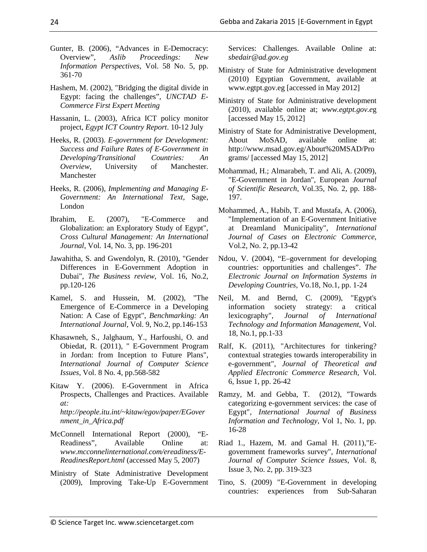- Gunter, B. (2006), "Advances in E-Democracy: Overview", *Aslib Proceedings: New Information Perspectives*, Vol. 58 No. 5, pp. 361-70
- Hashem, M. (2002), "Bridging the digital divide in Egypt: facing the challenges", *UNCTAD E-Commerce First Expert Meeting*
- Hassanin, L. (2003), Africa ICT policy monitor project, *Egypt ICT Country Report*. 10-12 July
- Heeks, R. (2003). *E-government for Development: Success and Failure Rates of E-Government in Developing/Transitional Countries: An Overview,* University of Manchester*.* Manchester
- Heeks, R. (2006), *Implementing and Managing E-Government: An International Text*, Sage, London
- Ibrahim, E. (2007), "E-Commerce and Globalization: an Exploratory Study of Egypt", *Cross Cultural Management: An International Journal*, Vol. 14, No. 3, pp. 196-201
- Jawahitha, S. and Gwendolyn, R. (2010), "Gender Differences in E-Government Adoption in Dubai", *The Business review*, Vol. 16, No.2, pp.120-126
- Kamel, S. and Hussein, M. (2002), "The Emergence of E-Commerce in a Developing Nation: A Case of Egypt", *Benchmarking: An International Journal*, Vol. 9, No.2, pp.146-153
- Khasawneh, S., Jalghaum, Y., Harfoushi, O. and Obiedat, R. (2011), " E-Government Program in Jordan: from Inception to Future Plans", *International Journal of Computer Science Issues*, Vol. 8 No. 4, pp.568-582
- Kitaw Y. (2006). E-Government in Africa Prospects, Challenges and Practices. Available *at: http://people.itu.int/~kitaw/egov/paper/EGover nment\_in\_Africa.pdf*
- McConnell International Report (2000), "E-Readiness", Available Online at: *www.mcconnelinternational.com/ereadiness/E-ReadinesReport.html* (accessed May 5, 2007)
- Ministry of State Administrative Development (2009), Improving Take-Up E-Government

Services: Challenges. Available Online at: *sbedair@ad.gov.eg*

- Ministry of State for Administrative development (2010) Egyptian Government, available at www.egtpt.gov.eg [accessed in May 2012]
- Ministry of State for Administrative development (2010), available online at; *www.egtpt.gov.e*g [accessed May 15, 2012]
- Ministry of State for Administrative Development, About MoSAD, available online at: http://www.msad.gov.eg/About%20MSAD/Pro grams/ [accessed May 15, 2012]
- Mohammad, H.; Almarabeh, T. and Ali, A. (2009), "E-Government in Jordan", European *Journal of Scientific Research*, Vol.35, No. 2, pp. 188- 197.
- Mohammed, A., Habib, T. and Mustafa, A. (2006), "Implementation of an E-Government Initiative at Dreamland Municipality", *International Journal of Cases on Electronic Commerce*, Vol.2, No. 2, pp.13-42
- Ndou, V. (2004), "E–government for developing countries: opportunities and challenges". *The Electronic Journal on Information Systems in Developing Countries,* Vo.18, No.1, pp. 1-24
- Neil, M. and Bernd, C. (2009), "Egypt's information society strategy: a critical<br>lexicography", Journal of International Journal of International *Technology and Information Management*, Vol. 18, No.1, pp.1-33
- Ralf, K. (2011), "Architectures for tinkering? contextual strategies towards interoperability in e-government", *Journal of Theoretical and Applied Electronic Commerce Research*, Vol. 6, Issue 1, pp. 26-42
- Ramzy, M. and Gebba, T. (2012), "Towards categorizing e-government services: the case of Egypt", *International Journal of Business Information and Technology*, Vol 1, No. 1, pp. 16-28
- Riad 1., Hazem, M. and Gamal H. (2011),"Egovernment frameworks survey", *International Journal of Computer Science Issues*, Vol. 8, Issue 3, No. 2, pp. 319-323
- Tino, S. (2009) "E-Government in developing countries: experiences from Sub-Saharan